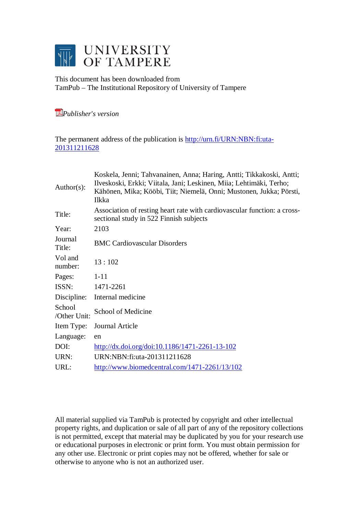

This document has been downloaded from TamPub – The Institutional Repository of University of Tampere

*[P](http://tampub.uta.fi/english/haekokoversio.php?id=1007)ublisher's version* 

The permanent address of the publication is [http://urn.fi/URN:NBN:fi:uta-](http://urn.fi/URN:NBN:fi:uta-201311211628)[201311211628](http://urn.fi/URN:NBN:fi:uta-201311211628)

| $Author(s)$ :          | Koskela, Jenni; Tahvanainen, Anna; Haring, Antti; Tikkakoski, Antti;<br>Ilveskoski, Erkki; Viitala, Jani; Leskinen, Miia; Lehtimäki, Terho;<br>Kähönen, Mika; Kööbi, Tiit; Niemelä, Onni; Mustonen, Jukka; Pörsti,<br>Ilkka |  |
|------------------------|-----------------------------------------------------------------------------------------------------------------------------------------------------------------------------------------------------------------------------|--|
| Title:                 | Association of resting heart rate with cardiovascular function: a cross-<br>sectional study in 522 Finnish subjects                                                                                                         |  |
| Year:                  | 2103                                                                                                                                                                                                                        |  |
| Journal<br>Title:      | <b>BMC Cardiovascular Disorders</b>                                                                                                                                                                                         |  |
| Vol and<br>number:     | 13:102                                                                                                                                                                                                                      |  |
| Pages:                 | $1 - 11$                                                                                                                                                                                                                    |  |
| ISSN:                  | 1471-2261                                                                                                                                                                                                                   |  |
| Discipline:            | Internal medicine                                                                                                                                                                                                           |  |
| School<br>/Other Unit: | School of Medicine                                                                                                                                                                                                          |  |
| Item Type:             | Journal Article                                                                                                                                                                                                             |  |
| Language:              | en                                                                                                                                                                                                                          |  |
| DOI:                   | http://dx.doi.org/doi:10.1186/1471-2261-13-102                                                                                                                                                                              |  |
| URN:                   | URN:NBN:fi:uta-201311211628                                                                                                                                                                                                 |  |
| URL:                   | http://www.biomedcentral.com/1471-2261/13/102                                                                                                                                                                               |  |
|                        |                                                                                                                                                                                                                             |  |

All material supplied via TamPub is protected by copyright and other intellectual property rights, and duplication or sale of all part of any of the repository collections is not permitted, except that material may be duplicated by you for your research use or educational purposes in electronic or print form. You must obtain permission for any other use. Electronic or print copies may not be offered, whether for sale or otherwise to anyone who is not an authorized user.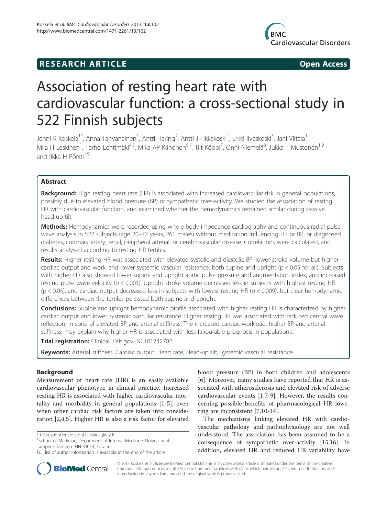



# Association of resting heart rate with cardiovascular function: a cross-sectional study in 522 Finnish subjects

Jenni K Koskela<sup>1\*</sup>, Anna Tahvanainen<sup>1</sup>, Antti Haring<sup>2</sup>, Antti J Tikkakoski<sup>1</sup>, Erkki Ilveskoski<sup>3</sup>, Jani Viitala<sup>1</sup> , Miia H Leskinen<sup>1</sup>, Terho Lehtimäki<sup>4,5</sup>, Mika AP Kähönen<sup>6,7</sup>, Tiit Kööbi<sup>7</sup>, Onni Niemelä<sup>8</sup>, Jukka T Mustonen<sup>1,9</sup> and Ilkka H Pörsti $^{1,9}$ 

# Abstract

Background: High resting heart rate (HR) is associated with increased cardiovascular risk in general populations, possibly due to elevated blood pressure (BP) or sympathetic over-activity. We studied the association of resting HR with cardiovascular function, and examined whether the hemodynamics remained similar during passive head-up tilt.

Methods: Hemodynamics were recorded using whole-body impedance cardiography and continuous radial pulse wave analysis in 522 subjects (age 20–72 years, 261 males) without medication influencing HR or BP, or diagnosed diabetes, coronary artery, renal, peripheral arterial, or cerebrovascular disease. Correlations were calculated, and results analysed according to resting HR tertiles.

Results: Higher resting HR was associated with elevated systolic and diastolic BP, lower stroke volume but higher cardiac output and work, and lower systemic vascular resistance, both supine and upright (p < 0.05 for all). Subjects with higher HR also showed lower supine and upright aortic pulse pressure and augmentation index, and increased resting pulse wave velocity (p < 0.001). Upright stroke volume decreased less in subjects with highest resting HR (p < 0.05), and cardiac output decreased less in subjects with lowest resting HR (p < 0.009), but clear hemodynamic differences between the tertiles persisted both supine and upright.

**Conclusions:** Supine and upright hemodynamic profile associated with higher resting HR is characterized by higher cardiac output and lower systemic vascular resistance. Higher resting HR was associated with reduced central wave reflection, in spite of elevated BP and arterial stiffness. The increased cardiac workload, higher BP and arterial stiffness, may explain why higher HR is associated with less favourable prognosis in populations.

Trial registration: ClinicalTrials.gov, [NCT01742702](http://www.clinicaltrials.gov/ct2/results?term=NCT01742702&Search=Search)

Keywords: Arterial stiffness, Cardiac output, Heart rate, Head-up tilt, Systemic vascular resistance

# Background

Measurement of heart rate (HR) is an easily available cardiovascular phenotype in clinical practice. Increased resting HR is associated with higher cardiovascular mortality and morbidity in general populations [\[1](#page-10-0)-[5\]](#page-10-0), even when other cardiac risk factors are taken into consideration [\[2,4,5](#page-10-0)]. Higher HR is also a risk factor for elevated

<sup>1</sup>School of Medicine, Department of Internal Medicine, University of Tampere, Tampere FIN-33014, Finland

blood pressure (BP) in both children and adolescents [[6\]](#page-10-0). Moreover, many studies have reported that HR is associated with atherosclerosis and elevated risk of adverse cardiovascular events [\[1,7](#page-10-0)-[9\]](#page-10-0). However, the results concerning possible benefits of pharmacological HR lowering are inconsistent [[7,10-14](#page-10-0)].

The mechanisms linking elevated HR with cardiovascular pathology and pathophysiology are not well understood. The association has been assumed to be a consequence of sympathetic over-activity [[15,16](#page-10-0)]. In addition, elevated HR and reduced HR variability have



© 2013 Koskela et al.; licensee BioMed Central Ltd. This is an open access article distributed under the terms of the Creative Commons Attribution License [\(http://creativecommons.org/licenses/by/2.0\)](http://creativecommons.org/licenses/by/2.0), which permits unrestricted use, distribution, and reproduction in any medium, provided the original work is properly cited.

<sup>\*</sup> Correspondence: [jenni.k.koskela@uta.fi](mailto:jenni.k.koskela@uta.fi) <sup>1</sup>

Full list of author information is available at the end of the article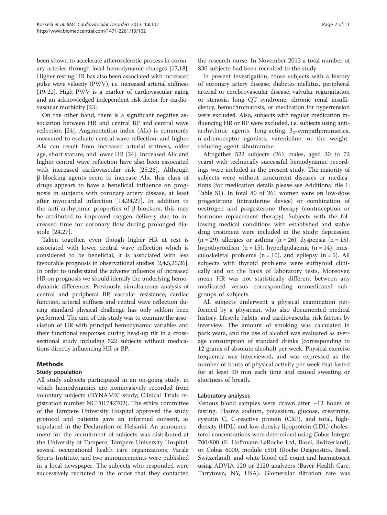<span id="page-2-0"></span>been shown to accelerate atherosclerotic process in coronary arteries through local hemodynamic changes [\[17,18](#page-10-0)]. Higher resting HR has also been associated with increased pulse wave velocity (PWV), i.e. increased arterial stiffness [[19](#page-10-0)-[22\]](#page-10-0). High PWV is a marker of cardiovascular aging and an acknowledged independent risk factor for cardiovascular morbidity [[23](#page-10-0)].

On the other hand, there is a significant negative association between HR and central BP and central wave reflection [[24](#page-10-0)]. Augmentation index (AIx) is commonly measured to evaluate central wave reflection, and higher AIx can result from increased arterial stiffness, older age, short stature, and lower HR [[24\]](#page-10-0). Increased AIx and higher central wave reflection have also been associated with increased cardiovascular risk [\[25](#page-11-0),[26\]](#page-11-0). Although β-blocking agents seem to increase AIx, this class of drugs appears to have a beneficial influence on prognosis in subjects with coronary artery disease, at least after myocardial infarction [[14,24](#page-10-0),[27\]](#page-11-0). In addition to the anti-arrhythmic properties of β-blockers, this may be attributed to improved oxygen delivery due to increased time for coronary flow during prolonged diastole [\[24](#page-10-0),[27\]](#page-11-0).

Taken together, even though higher HR at rest is associated with lower central wave reflection which is considered to be beneficial, it is associated with less favourable prognosis in observational studies [\[2,4,5](#page-10-0)[,25,26](#page-11-0)]. In order to understand the adverse influence of increased HR on prognosis we should identify the underlying hemodynamic differences. Previously, simultaneous analysis of central and peripheral BP, vascular resistance, cardiac function, arterial stiffness and central wave reflection during standard physical challenge has only seldom been performed. The aim of this study was to examine the association of HR with principal hemodynamic variables and their functional responses during head-up tilt in a crosssectional study including 522 subjects without medications directly influencing HR or BP.

# Methods

## Study population

All study subjects participated in an on-going study, in which hemodynamics are noninvasively recorded from voluntary subjects (DYNAMIC-study; Clinical Trials registration number NCT01742702). The ethics committee of the Tampere University Hospital approved the study protocol and patients gave an informed consent, as stipulated in the Declaration of Helsinki. An announcement for the recruitment of subjects was distributed at the University of Tampere, Tampere University Hospital, several occupational health care organizations, Varala Sports Institute, and two announcements were published in a local newspaper. The subjects who responded were successively recruited in the order that they contacted

the research nurse. In November 2012 a total number of 830 subjects had been recruited to the study.

In present investigation, those subjects with a history of coronary artery disease, diabetes mellitus, peripheral arterial or cerebrovascular disease, valvular regurgitation or stenosis, long QT syndrome, chronic renal insufficiency, hemochromatosis, or medication for hypertension were excluded. Also, subjects with regular medication influencing HR or BP were excluded, i.e. subjects using antiarrhythmic agents, long-acting  $\beta_2$ -sympathomimetics, α-adrenoceptor agonists, varenicline, or the weightreducing agent sibutramine.

Altogether 522 subjects (261 males, aged 20 to 72 years) with technically successful hemodynamic recordings were included in the present study. The majority of subjects were without concurrent diseases or medications (for medication details please see Additional file [1](#page-10-0): Table S1). In total 80 of 261 women were on low-dose progesterone (intrauterine device) or combination of oestrogen and progesterone therapy (contraception or hormone replacement therapy). Subjects with the following medical conditions with established and stable drug treatment were included in the study: depression  $(n = 29)$ , allergies or asthma  $(n = 26)$ , dyspepsia  $(n = 15)$ , hypothyroidism (n = 15), hyperlipidaemia (n = 14), musculoskeletal problems  $(n = 10)$ , and epilepsy  $(n = 5)$ . All subjects with thyroid problems were euthyroid clinically and on the basis of laboratory tests. Moreover, mean HR was not statistically different between any medicated versus corresponding unmedicated subgroups of subjects.

All subjects underwent a physical examination performed by a physician, who also documented medical history, lifestyle habits, and cardiovascular risk factors by interview. The amount of smoking was calculated in pack years, and the use of alcohol was evaluated as average consumption of standard drinks (corresponding to 12 grams of absolute alcohol) per week. Physical exercise frequency was interviewed, and was expressed as the number of bouts of physical activity per week that lasted for at least 30 min each time and caused sweating or shortness of breath.

## Laboratory analyses

Venous blood samples were drawn after  $\sim$ 12 hours of fasting. Plasma sodium, potassium, glucose, creatinine, cystatin C, C-reactive protein (CRP), and total, highdensity (HDL) and low-density lipoprotein (LDL) cholesterol concentrations were determined using Cobas Integra 700/800 (F. Hoffmann-LaRoche Ltd, Basel, Switzerland), or Cobas 6000, module c501 (Roche Diagnostics, Basel, Switzerland), and white blood cell count and haematocrit using ADVIA 120 or 2120 analyzers (Bayer Health Care, Tarrytown, NY, USA). Glomerular filtration rate was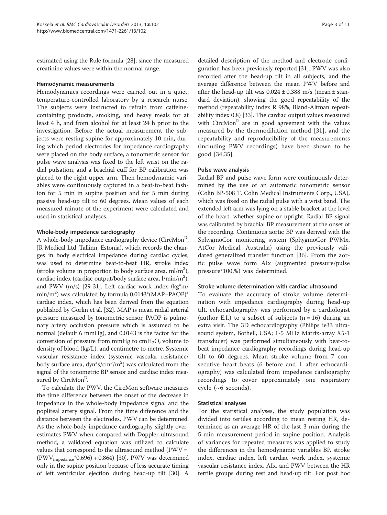<span id="page-3-0"></span>estimated using the Rule formula [[28](#page-11-0)], since the measured creatinine values were within the normal range.

## Hemodynamic measurements

Hemodynamics recordings were carried out in a quiet, temperature-controlled laboratory by a research nurse. The subjects were instructed to refrain from caffeinecontaining products, smoking, and heavy meals for at least 4 h, and from alcohol for at least 24 h prior to the investigation. Before the actual measurement the subjects were resting supine for approximately 10 min, during which period electrodes for impedance cardiography were placed on the body surface, a tonometric sensor for pulse wave analysis was fixed to the left wrist on the radial pulsation, and a brachial cuff for BP calibration was placed to the right upper arm. Then hemodynamic variables were continuously captured in a beat-to-beat fashion for 5 min in supine position and for 5 min during passive head-up tilt to 60 degrees. Mean values of each measured minute of the experiment were calculated and used in statistical analyses.

## Whole-body impedance cardiography

A whole-body impedance cardiography device (CircMon<sup>R</sup>, JR Medical Ltd, Tallinn, Estonia), which records the changes in body electrical impedance during cardiac cycles, was used to determine beat-to-beat HR, stroke index (stroke volume in proportion to body surface area,  $ml/m<sup>2</sup>$ ), cardiac index (cardiac output/body surface area, l/min/m<sup>2</sup>), and PWV (m/s) [[29](#page-11-0)-[31](#page-11-0)]. Left cardiac work index (kg\*m/ min/m<sup>2</sup>) was calculated by formula 0.0143\*(MAP-PAOP)\* cardiac index, which has been derived from the equation published by Gorlin et al. [\[32](#page-11-0)]. MAP is mean radial arterial pressure measured by tonometric sensor, PAOP is pulmonary artery occlusion pressure which is assumed to be normal (default 6 mmHg), and 0.0143 is the factor for the conversion of pressure from mmHg to  $cmH<sub>2</sub>O$ , volume to density of blood (kg/L), and centimetre to metre. Systemic vascular resistance index (systemic vascular resistance/ body surface area, dyn\*s/cm<sup>5</sup>/m<sup>2</sup>) was calculated from the signal of the tonometric BP sensor and cardiac index measured by CircMon<sup>R</sup>.

To calculate the PWV, the CircMon software measures the time difference between the onset of the decrease in impedance in the whole-body impedance signal and the popliteal artery signal. From the time difference and the distance between the electrodes, PWV can be determined. As the whole-body impedance cardiography slightly overestimates PWV when compared with Doppler ultrasound method, a validated equation was utilized to calculate values that correspond to the ultrasound method ( $PWV =$  $(PWV<sub>impedance</sub><sup>*</sup>0.696) + 0.864)$  [\[30](#page-11-0)]. PWV was determined only in the supine position because of less accurate timing of left ventricular ejection during head-up tilt [\[30](#page-11-0)]. A

detailed description of the method and electrode configuration has been previously reported [[31\]](#page-11-0). PWV was also recorded after the head-up tilt in all subjects, and the average difference between the mean PWV before and after the head-up tilt was  $0.024 \pm 0.388$  m/s (mean  $\pm$  standard deviation), showing the good repeatability of the method (repeatability index R 98%, Bland-Altman repeatability index 0.8) [\[33](#page-11-0)]. The cardiac output values measured with CircMon<sup>R</sup> are in good agreement with the values measured by the thermodilution method [\[31\]](#page-11-0), and the repeatability and reproducibility of the measurements (including PWV recordings) have been shown to be good [\[34](#page-11-0),[35\]](#page-11-0).

## Pulse wave analysis

Radial BP and pulse wave form were continuously determined by the use of an automatic tonometric sensor (Colin BP-508 T, Colin Medical Instruments Corp., USA), which was fixed on the radial pulse with a wrist band. The extended left arm was lying on a stable bracket at the level of the heart, whether supine or upright. Radial BP signal was calibrated by brachial BP measurement at the onset of the recording. Continuous aortic BP was derived with the SphygmoCor monitoring system (SphygmoCor PWMx, AtCor Medical, Australia) using the previously validated generalized transfer function [\[36](#page-11-0)]. From the aortic pulse wave form AIx (augmented pressure/pulse pressure\*100,%) was determined.

## Stroke volume determination with cardiac ultrasound

To evaluate the accuracy of stroke volume determination with impedance cardiography during head-up tilt, echocardiography was performed by a cardiologist (author E.I.) to a subset of subjects  $(n = 16)$  during an extra visit. The 3D echocardiography (Philips ie33 ultrasound system, Bothell, USA; 1-5 MHz Matrix-array X5-1 transducer) was performed simultaneously with beat-tobeat impedance cardiography recordings during head-up tilt to 60 degrees. Mean stroke volume from 7 consecutive heart beats (6 before and 1 after echocardiography) was calculated from impedance cardiography recordings to cover approximately one respiratory cycle  $({\sim}6$  seconds).

## Statistical analyses

For the statistical analyses, the study population was divided into tertiles according to mean resting HR, determined as an average HR of the last 3 min during the 5-min measurement period in supine position. Analysis of variances for repeated measures was applied to study the differences in the hemodynamic variables BP, stroke index, cardiac index, left cardiac work index, systemic vascular resistance index, AIx, and PWV between the HR tertile groups during rest and head-up tilt. For post hoc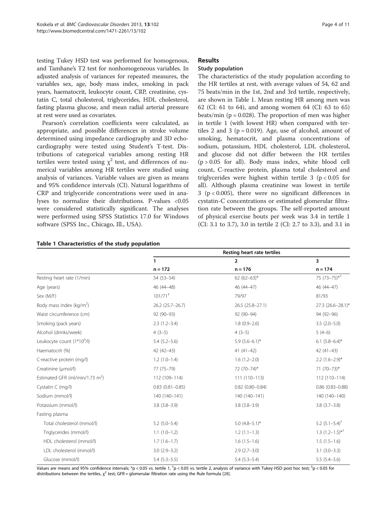testing Tukey HSD test was performed for homogenous, and Tamhane's T2 test for nonhomogeneous variables. In adjusted analysis of variances for repeated measures, the variables sex, age, body mass index, smoking in pack years, haematocrit, leukocyte count, CRP, creatinine, cystatin C, total cholesterol, triglycerides, HDL cholesterol, fasting plasma glucose, and mean radial arterial pressure at rest were used as covariates.

Pearson's correlation coefficients were calculated, as appropriate, and possible differences in stroke volume determined using impedance cardiography and 3D echocardiography were tested using Student's T-test. Distributions of categorical variables among resting HR tertiles were tested using  $\chi^2$  test, and differences of numerical variables among HR tertiles were studied using analysis of variances. Variable values are given as means and 95% confidence intervals (CI). Natural logarithms of CRP and triglyceride concentrations were used in analyses to normalize their distributions. P-values <0.05 were considered statistically significant. The analyses were performed using SPSS Statistics 17.0 for Windows software (SPSS Inc., Chicago, Ill., USA).

## Results

## Study population

The characteristics of the study population according to the HR tertiles at rest, with average values of 54, 62 and 75 beats/min in the 1st, 2nd and 3rd tertile, respectively, are shown in Table 1. Mean resting HR among men was 62 (CI: 61 to 64), and among women 64 (CI: 63 to 65) beats/min ( $p = 0.028$ ). The proportion of men was higher in tertile 1 (with lowest HR) when compared with tertiles 2 and 3 ( $p = 0.019$ ). Age, use of alcohol, amount of smoking, hematocrit, and plasma concentrations of sodium, potassium, HDL cholesterol, LDL cholesterol, and glucose did not differ between the HR tertiles  $(p > 0.05$  for all). Body mass index, white blood cell count, C-reactive protein, plasma total cholesterol and triglycerides were highest within tertile  $3 (p < 0.05$  for all). Although plasma creatinine was lowest in tertile 3 ( $p < 0.005$ ), there were no significant differences in cystatin-C concentrations or estimated glomerular filtration rate between the groups. The self-reported amount of physical exercise bouts per week was 3.4 in tertile 1 (CI: 3.1 to 3.7), 3.0 in tertile 2 (CI: 2.7 to 3.3), and 3.1 in

|                                             | Resting heart rate tertiles |                    |                              |
|---------------------------------------------|-----------------------------|--------------------|------------------------------|
|                                             | 1                           | $\overline{2}$     | 3                            |
|                                             | $n = 172$                   | $n = 176$          | $n = 174$                    |
| Resting heart rate (1/min)                  | $54(53 - 54)$               | 62 (62-63)*        | 75 $(73-75)*$ <sup>+</sup>   |
| Age (years)                                 | 46 (44-48)                  | 46 (44-47)         | $46(44-47)$                  |
| Sex (M/F)                                   | $101/71$ <sup>‡</sup>       | 79/97              | 81/93                        |
| Body mass index ( $kg/m2$ )                 | 26.2 (25.7-26.7)            | 26.5 (25.8-27.1)   | 27.3 (26.6-28.1)*            |
| Waist circumference (cm)                    | 92 (90-93)                  | 92 (90-94)         | 94 (92-96)                   |
| Smoking (pack years)                        | $2.3(1.2-3.4)$              | $1.8(0.9-2.6)$     | $3.5(2.0-5.0)$               |
| Alcohol (drinks/week)                       | $4(3-5)$                    | $4(3-5)$           | $5(4-6)$                     |
| Leukocyte count (1*10 <sup>9</sup> /l)      | $5.4(5.2 - 5.6)$            | $5.9(5.6-6.1)$ *   | $6.1 (5.8 - 6.4)^*$          |
| Haematocrit (%)                             | $42(42-43)$                 | $41(41-42)$        | $42(41-43)$                  |
| C-reactive protein (mg/l)                   | $1.2(1.0-1.4)$              | $1.6(1.2 - 2.0)$   | $2.2$ $(1.6-2.9)$ *          |
| Creatinine (µmol/l)                         | 77 (75-79)                  | 72 (70-74)*        | $71 (70 - 73)^*$             |
| Estimated GFR (ml/min/1.73 m <sup>2</sup> ) | 112 (109-114)               | $111(110-113)$     | $112(110-114)$               |
| Cystatin C (mg/l)                           | $0.83$ $(0.81 - 0.85)$      | $0.82$ (0.80-0.84) | $0.86(0.83 - 0.88)$          |
| Sodium (mmol/l)                             | 140 (140-141)               | 140 (140-141)      | 140 (140-140)                |
| Potassium (mmol/l)                          | $3.8(3.8-3.9)$              | $3.8(3.8 - 3.9)$   | $3.8(3.7 - 3.8)$             |
| Fasting plasma                              |                             |                    |                              |
| Total cholesterol (mmol/l)                  | $5.2$ (5.0-5.4)             | 5.0 $(4.8-5.1)$ *  | 5.2 $(5.1 - 5.4)^{\dagger}$  |
| Triglycerides (mmol/l)                      | $1.1(1.0-1.2)$              | $1.2(1.1-1.3)$     | $1.3(1.2-1.5)$ <sup>*T</sup> |
| HDL cholesterol (mmol/l)                    | $1.7(1.6-1.7)$              | $1.6(1.5-1.6)$     | $1.5(1.5-1.6)$               |
| LDL cholesterol (mmol/l)                    | $3.0(2.9 - 3.2)$            | $2.9(2.7-3.0)$     | $3.1(3.0-3.3)$               |
| Glucose (mmol/l)                            | $5.4(5.3-5.5)$              | $5.4(5.3-5.4)$     | $5.5(5.4 - 5.6)$             |

## Table 1 Characteristics of the study population

Values are means and 95% confidence intervals; \*p < 0.05 vs. tertile 1, <sup>†</sup>p < 0.05 vs. tertile 2, analysis of variance with Tukey HSD post hoc test; <sup>‡</sup>p < 0.05 for distributions between the tertiles,  $\chi^2$  test; GFR = glomerular filtration rate using the Rule formula [[28\]](#page-11-0).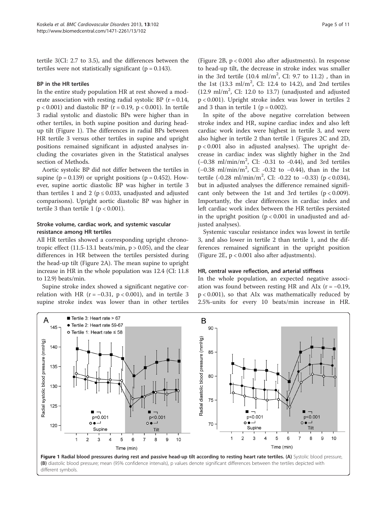tertile 3(CI: 2.7 to 3.5), and the differences between the tertiles were not statistically significant ( $p = 0.143$ ).

## BP in the HR tertiles

In the entire study population HR at rest showed a moderate association with resting radial systolic BP  $(r = 0.14,$  $p < 0.001$ ) and diastolic BP ( $r = 0.19$ ,  $p < 0.001$ ). In tertile 3 radial systolic and diastolic BPs were higher than in other tertiles, in both supine position and during headup tilt (Figure 1). The differences in radial BPs between HR tertile 3 versus other tertiles in supine and upright positions remained significant in adjusted analyses including the covariates given in the [Statistical analyses](#page-3-0) section of [Methods.](#page-2-0)

Aortic systolic BP did not differ between the tertiles in supine ( $p = 0.139$ ) or upright positions ( $p = 0.452$ ). However, supine aortic diastolic BP was higher in tertile 3 than tertiles 1 and 2 ( $p \le 0.033$ , unadjusted and adjusted comparisons). Upright aortic diastolic BP was higher in tertile 3 than tertile 1 ( $p < 0.001$ ).

## Stroke volume, cardiac work, and systemic vascular resistance among HR tertiles

All HR tertiles showed a corresponding upright chronotropic effect (11.5-13.1 beats/min,  $p > 0.05$ ), and the clear differences in HR between the tertiles persisted during the head-up tilt (Figure [2](#page-6-0)A). The mean supine to upright increase in HR in the whole population was 12.4 (CI: 11.8 to 12.9) beats/min.

Supine stroke index showed a significant negative correlation with HR ( $r = -0.31$ ,  $p < 0.001$ ), and in tertile 3 supine stroke index was lower than in other tertiles

(Figure [2B](#page-6-0), p < 0.001 also after adjustments). In response to head-up tilt, the decrease in stroke index was smaller in the 3rd tertile  $(10.4 \text{ ml/m}^2, \text{ CI: } 9.7 \text{ to } 11.2)$ , than in the 1st  $(13.3 \text{ ml/m}^2, \text{CI: } 12.4 \text{ to } 14.2)$ , and 2nd tertiles  $(12.9 \text{ ml/m}^2, \text{ CI: } 12.0 \text{ to } 13.7)$  (unadjusted and adjusted p < 0.001). Upright stroke index was lower in tertiles 2 and 3 than in tertile 1 ( $p = 0.002$ ).

In spite of the above negative correlation between stroke index and HR, supine cardiac index and also left cardiac work index were highest in tertile 3, and were also higher in tertile 2 than tertile 1 (Figures [2C](#page-6-0) and [2](#page-6-0)D, p < 0.001 also in adjusted analyses). The upright decrease in cardiac index was slightly higher in the 2nd (−0.38 ml/min/m<sup>2</sup> , CI: -0.31 to -0.44), and 3rd tertiles (−0.38 ml/min/m<sup>2</sup> , CI: -0.32 to −0.44), than in the 1st tertile (-0.28 ml/min/m<sup>2</sup>, CI: -0.22 to -0.33) (p < 0.034), but in adjusted analyses the difference remained significant only between the 1st and 3rd tertiles  $(p < 0.009)$ . Importantly, the clear differences in cardiac index and left cardiac work index between the HR tertiles persisted in the upright position ( $p < 0.001$  in unadjusted and adjusted analyses).

Systemic vascular resistance index was lowest in tertile 3, and also lower in tertile 2 than tertile 1, and the differences remained significant in the upright position (Figure [2E](#page-6-0), p < 0.001 also after adjustments).

#### HR, central wave reflection, and arterial stiffness

In the whole population, an expected negative association was found between resting HR and AIx ( $r = -0.19$ , p < 0.001), so that AIx was mathematically reduced by 2.5%-units for every 10 beats/min increase in HR.

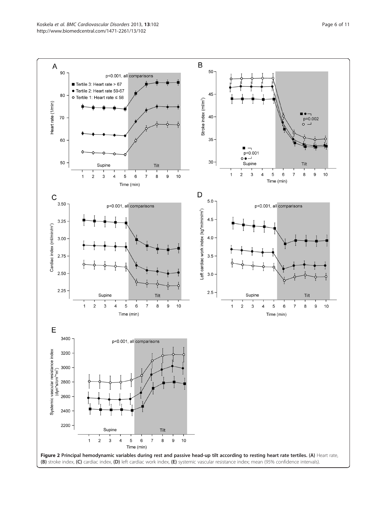<span id="page-6-0"></span>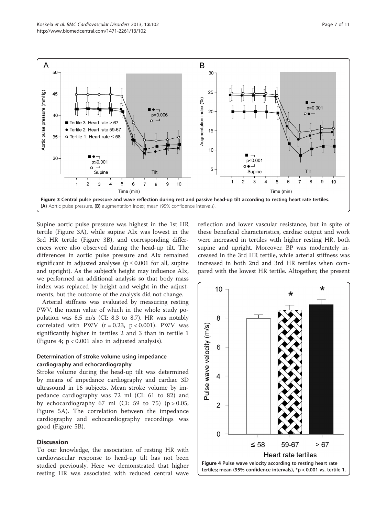

Supine aortic pulse pressure was highest in the 1st HR tertile (Figure 3A), while supine AIx was lowest in the 3rd HR tertile (Figure 3B), and corresponding differences were also observed during the head-up tilt. The differences in aortic pulse pressure and AIx remained significant in adjusted analyses ( $p \le 0.001$  for all, supine and upright). As the subject's height may influence AIx, we performed an additional analysis so that body mass index was replaced by height and weight in the adjustments, but the outcome of the analysis did not change.

Arterial stiffness was evaluated by measuring resting PWV, the mean value of which in the whole study population was 8.5 m/s (CI: 8.3 to 8.7). HR was notably correlated with PWV  $(r = 0.23, p < 0.001)$ . PWV was significantly higher in tertiles 2 and 3 than in tertile 1 (Figure 4; p < 0.001 also in adjusted analysis).

# Determination of stroke volume using impedance cardiography and echocardiography

Stroke volume during the head-up tilt was determined by means of impedance cardiography and cardiac 3D ultrasound in 16 subjects. Mean stroke volume by impedance cardiography was 72 ml (CI: 61 to 82) and by echocardiography 67 ml (CI: 59 to 75) ( $p > 0.05$ , Figure [5A](#page-8-0)). The correlation between the impedance cardiography and echocardiography recordings was good (Figure [5B](#page-8-0)).

# Discussion

To our knowledge, the association of resting HR with cardiovascular response to head-up tilt has not been studied previously. Here we demonstrated that higher resting HR was associated with reduced central wave

reflection and lower vascular resistance, but in spite of these beneficial characteristics, cardiac output and work were increased in tertiles with higher resting HR, both supine and upright. Moreover, BP was moderately increased in the 3rd HR tertile, while arterial stiffness was increased in both 2nd and 3rd HR tertiles when compared with the lowest HR tertile. Altogether, the present

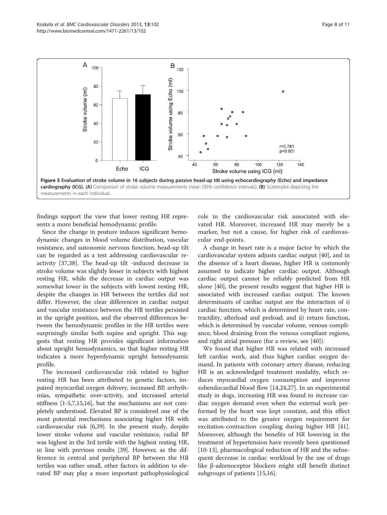<span id="page-8-0"></span>

findings support the view that lower resting HR represents a more beneficial hemodynamic profile.

Since the change in posture induces significant hemodynamic changes in blood volume distribution, vascular resistance, and autonomic nervous function, head-up tilt can be regarded as a test addressing cardiovascular reactivity [[37,38\]](#page-11-0). The head-up tilt -induced decrease in stroke volume was slightly lesser in subjects with highest resting HR, while the decrease in cardiac output was somewhat lower in the subjects with lowest resting HR, despite the changes in HR between the tertiles did not differ. However, the clear differences in cardiac output and vascular resistance between the HR tertiles persisted in the upright position, and the observed differences between the hemodynamic profiles in the HR tertiles were surprisingly similar both supine and upright. This suggests that resting HR provides significant information about upright hemodynamics, so that higher resting HR indicates a more hyperdynamic upright hemodynamic profile.

The increased cardiovascular risk related to higher resting HR has been attributed to genetic factors, impaired myocardial oxygen delivery, increased BP, arrhythmias, sympathetic over-activity, and increased arterial stiffness [[1-5,7,15,16](#page-10-0)], but the mechanisms are not completely understood. Elevated BP is considered one of the most potential mechanisms associating higher HR with cardiovascular risk [[6](#page-10-0)[,39](#page-11-0)]. In the present study, despite lower stroke volume and vascular resistance, radial BP was highest in the 3rd tertile with the highest resting HR, in line with previous results [\[39\]](#page-11-0). However, as the difference in central and peripheral BP between the HR tertiles was rather small, other factors in addition to elevated BP may play a more important pathophysiological role in the cardiovascular risk associated with elevated HR. Moreover, increased HR may merely be a marker, but not a cause, for higher risk of cardiovascular end-points.

A change in heart rate is a major factor by which the cardiovascular system adjusts cardiac output [\[40](#page-11-0)], and in the absence of a heart disease, higher HR is commonly assumed to indicate higher cardiac output. Although cardiac output cannot be reliably predicted from HR alone [\[40](#page-11-0)], the present results suggest that higher HR is associated with increased cardiac output. The known determinants of cardiac output are the interaction of i) cardiac function, which is determined by heart rate, contractility, afterload and preload; and ii) return function, which is determined by vascular volume, venous compliance, blood draining from the venous compliant regions, and right atrial pressure (for a review, see [\[40](#page-11-0)]).

We found that higher HR was related with increased left cardiac work, and thus higher cardiac oxygen demand. In patients with coronary artery disease, reducing HR is an acknowledged treatment modality, which reduces myocardial oxygen consumption and improves subendocardial blood flow [[14,24,](#page-10-0)[27\]](#page-11-0). In an experimental study in dogs, increasing HR was found to increase cardiac oxygen demand even when the external work performed by the heart was kept constant, and this effect was attributed to the greater oxygen requirement for excitation-contraction coupling during higher HR [\[41](#page-11-0)]. Moreover, although the benefits of HR lowering in the treatment of hypertension have recently been questioned [[10-13](#page-10-0)], pharmacological reduction of HR and the subsequent decrease in cardiac workload by the use of drugs like β-adrenoceptor blockers might still benefit distinct subgroups of patients [[15,16\]](#page-10-0).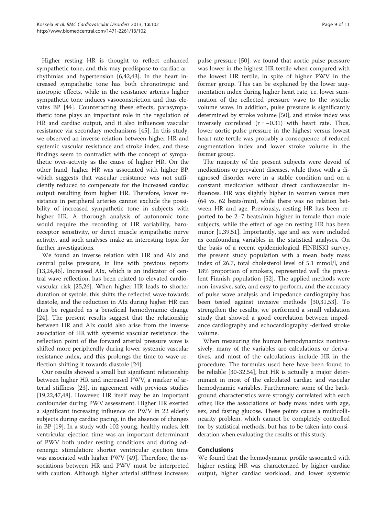Higher resting HR is thought to reflect enhanced sympathetic tone, and this may predispose to cardiac arrhythmias and hypertension [\[6](#page-10-0)[,42,43\]](#page-11-0). In the heart increased sympathetic tone has both chronotropic and inotropic effects, while in the resistance arteries higher sympathetic tone induces vasoconstriction and thus elevates BP [\[44\]](#page-11-0). Counteracting these effects, parasympathetic tone plays an important role in the regulation of HR and cardiac output, and it also influences vascular resistance via secondary mechanisms [\[45\]](#page-11-0). In this study, we observed an inverse relation between higher HR and systemic vascular resistance and stroke index, and these findings seem to contradict with the concept of sympathetic over-activity as the cause of higher HR. On the other hand, higher HR was associated with higher BP, which suggests that vascular resistance was not sufficiently reduced to compensate for the increased cardiac output resulting from higher HR. Therefore, lower resistance in peripheral arteries cannot exclude the possibility of increased sympathetic tone in subjects with higher HR. A thorough analysis of autonomic tone would require the recording of HR variability, baroreceptor sensitivity, or direct muscle sympathetic nerve activity, and such analyses make an interesting topic for further investigations.

We found an inverse relation with HR and AIx and central pulse pressure, in line with previous reports [[13,24,](#page-10-0)[46\]](#page-11-0). Increased AIx, which is an indicator of central wave reflection, has been related to elevated cardiovascular risk [\[25,26\]](#page-11-0). When higher HR leads to shorter duration of systole, this shifts the reflected wave towards diastole, and the reduction in AIx during higher HR can thus be regarded as a beneficial hemodynamic change [[24\]](#page-10-0). The present results suggest that the relationship between HR and AIx could also arise from the inverse association of HR with systemic vascular resistance: the reflection point of the forward arterial pressure wave is shifted more peripherally during lower systemic vascular resistance index, and this prolongs the time to wave reflection shifting it towards diastole [[24\]](#page-10-0).

Our results showed a small but significant relationship between higher HR and increased PWV, a marker of arterial stiffness [[23\]](#page-10-0), in agreement with previous studies [[19,22,](#page-10-0)[47,48\]](#page-11-0). However, HR itself may be an important confounder during PWV assessment. Higher HR exerted a significant increasing influence on PWV in 22 elderly subjects during cardiac pacing, in the absence of changes in BP [\[19\]](#page-10-0). In a study with 102 young, healthy males, left ventricular ejection time was an important determinant of PWV both under resting conditions and during adrenergic stimulation: shorter ventricular ejection time was associated with higher PWV [\[49](#page-11-0)]. Therefore, the associations between HR and PWV must be interpreted with caution. Although higher arterial stiffness increases

pulse pressure [[50\]](#page-11-0), we found that aortic pulse pressure was lower in the highest HR tertile when compared with the lowest HR tertile, in spite of higher PWV in the former group. This can be explained by the lower augmentation index during higher heart rate, i.e. lower summation of the reflected pressure wave to the systolic volume wave. In addition, pulse pressure is significantly determined by stroke volume [[50](#page-11-0)], and stroke index was inversely correlated  $(r = -0.31)$  with heart rate. Thus, lower aortic pulse pressure in the highest versus lowest heart rate tertile was probably a consequence of reduced augmentation index and lower stroke volume in the former group.

The majority of the present subjects were devoid of medications or prevalent diseases, while those with a diagnosed disorder were in a stable condition and on a constant medication without direct cardiovascular influences. HR was slightly higher in women versus men (64 vs. 62 beats/min), while there was no relation between HR and age. Previously, resting HR has been reported to be 2–7 beats/min higher in female than male subjects, while the effect of age on resting HR has been minor [\[1](#page-10-0)[,39,51](#page-11-0)]. Importantly, age and sex were included as confounding variables in the statistical analyses. On the basis of a recent epidemiological FINRISKI survey, the present study population with a mean body mass index of 26.7, total cholesterol level of 5.1 mmol/l, and 18% proportion of smokers, represented well the prevalent Finnish population [[52](#page-11-0)]. The applied methods were non-invasive, safe, and easy to perform, and the accuracy of pulse wave analysis and impedance cardiography has been tested against invasive methods [\[30,31,53\]](#page-11-0). To strengthen the results, we performed a small validation study that showed a good correlation between impedance cardiography and echocardiography -derived stroke volume.

When measuring the human hemodynamics noninvasively, many of the variables are calculations or derivatives, and most of the calculations include HR in the procedure. The formulas used here have been found to be reliable [[30](#page-11-0)-[32,54\]](#page-11-0), but HR is actually a major determinant in most of the calculated cardiac and vascular hemodynamic variables. Furthermore, some of the background characteristics were strongly correlated with each other, like the associations of body mass index with age, sex, and fasting glucose. These points cause a multicollinearity problem, which cannot be completely controlled for by statistical methods, but has to be taken into consideration when evaluating the results of this study.

# **Conclusions**

We found that the hemodynamic profile associated with higher resting HR was characterized by higher cardiac output, higher cardiac workload, and lower systemic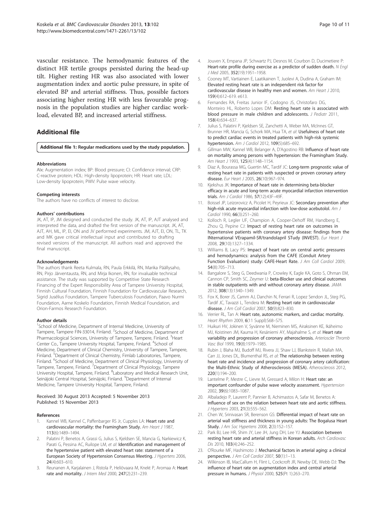<span id="page-10-0"></span>vascular resistance. The hemodynamic features of the distinct HR tertile groups persisted during the head-up tilt. Higher resting HR was also associated with lower augmentation index and aortic pulse pressure, in spite of elevated BP and arterial stiffness. Thus, possible factors associating higher resting HR with less favourable prognosis in the population studies are higher cardiac workload, elevated BP, and increased arterial stiffness.

# Additional file

#### [Additional file 1:](http://www.biomedcentral.com/content/supplementary/1471-2261-13-102-S1.docx) Regular medications used by the study population.

#### Abbreviations

AIx: Augmentation index; BP: Blood pressure; CI: Confidence interval; CRP: C-reactive protein; HDL: High-density lipoprotein; HR: Heart rate; LDL: Low-density lipoprotein; PWV: Pulse wave velocity.

#### Competing interests

The authors have no conflicts of interest to disclose.

#### Authors' contributions

JK, AT, IP, JM designed and conducted the study. JK, AT, IP, AJT analysed and interpreted the data, and drafted the first version of the manuscript. JK, AT, AJT, AH, ML, IP, EI, ON and JV performed experiments. JM, AJT, EI, ON, TL, TK and MK gave critical intellectual input and contributed to drafting revised versions of the manuscript. All authors read and approved the final manuscript.

#### Acknowledgements

The authors thank Reeta Kulmala, RN, Paula Erkkilä, RN, Marika Päällysaho, RN, Pirjo Järventausta, RN, and Mirja Ikonen, RN, for invaluable technical assistance. The study was supported by Competitive State Research Financing of the Expert Responsibility Area of Tampere University Hospital, Finnish Cultural Foundation, Finnish Foundation for Cardiovascular Research, Sigrid Jusélius Foundation, Tampere Tuberculosis Foundation, Paavo Nurmi Foundation, Aarne Koskelo Foundation, Finnish Medical Foundation, and Orion-Farmos Research Foundation.

#### Author details

<sup>1</sup>School of Medicine, Department of Internal Medicine, University of Tampere, Tampere FIN-33014, Finland. <sup>2</sup>School of Medicine, Department of Pharmacological Sciences, University of Tampere, Tampere, Finland. <sup>3</sup>Heart Center Co., Tampere University Hospital, Tampere, Finland. <sup>4</sup>School of Medicine, Department of Clinical Chemistry, University of Tampere, Tampere, Finland. <sup>5</sup>Department of Clinical Chemistry, Fimlab Laboratories, Tampere, Finland. <sup>6</sup>School of Medicine, Department of Clinical Physiology, University of Tampere, Tampere, Finland. <sup>7</sup>Department of Clinical Physiology, Tampere University Hospital, Tampere, Finland. <sup>8</sup>Laboratory and Medical Research Unit, Seinäjoki Central Hospital, Seinäjoki, Finland. <sup>9</sup>Department of Internal Medicine, Tampere University Hospital, Tampere, Finland.

#### Received: 30 August 2013 Accepted: 5 November 2013 Published: 15 November 2013

#### References

- Kannel WB, Kannel C, Paffenbarger RS Jr, Cupples LA: Heart rate and cardiovascular mortality: the Framingham Study. Am Heart J 1987, 113(6):1489–1494.
- Palatini P, Benetos A, Grassi G, Julius S, Kjeldsen SE, Mancia G, Narkiewicz K, Parati G, Pessina AC, Ruilope LM, et al: Identification and management of the hypertensive patient with elevated heart rate: statement of a European Society of Hypertension Consensus Meeting. J Hypertens 2006, 24(4):603–610.
- 3. Reunanen A, Karjalainen J, Ristola P, Heliövaara M, Knekt P, Aromaa A: Heart rate and mortality. J Intern Med 2000, 247(2):231–239.
- 4. Jouven X, Empana JP, Schwartz PJ, Desnos M, Courbon D, Ducimetiere P: Heart-rate profile during exercise as a predictor of sudden death. N Engl J Med 2005, 352(19):1951–1958.
- 5. Cooney MT, Vartiainen E, Laatikainen T, Juolevi A, Dudina A, Graham IM: Elevated resting heart rate is an independent risk factor for cardiovascular disease in healthy men and women. Am Heart J 2010, 159(4):612–619. e613.
- 6. Fernandes RA, Freitas Junior IF, Codogno JS, Christofaro DG, Monteiro HL, Roberto Lopes DM: Resting heart rate is associated with blood pressure in male children and adolescents. *J Pediatr* 2011, 158(4):634–637.
- 7. Julius S, Palatini P, Kjeldsen SE, Zanchetti A, Weber MA, McInnes GT, Brunner HR, Mancia G, Schork MA, Hua TA, et al: Usefulness of heart rate to predict cardiac events in treated patients with high-risk systemic hypertension. Am J Cardiol 2012, 109(5):685–692.
- 8. Gillman MW, Kannel WB, Belanger A, D'Agostino RB: Influence of heart rate on mortality among persons with hypertension: the Framingham Study. Am Heart J 1993, 125(4):1148–1154.
- 9. Diaz A, Bourassa MG, Guertin MC, Tardif JC: Long-term prognostic value of resting heart rate in patients with suspected or proven coronary artery disease. Eur Heart J 2005, 26(10):967–974.
- 10. Kjekshus JK: Importance of heart rate in determining beta-blocker efficacy in acute and long-term acute myocardial infarction intervention trials. Am J Cardiol 1986, 57(12):43F–49F.
- 11. Boissel JP, Leizorovicz A, Picolet H, Peyrieux JC: Secondary prevention after high-risk acute myocardial infarction with low-dose acebutolol. Am J Cardiol 1990, 66(3):251–260.
- 12. Kolloch R, Legler UF, Champion A, Cooper-Dehoff RM, Handberg E, Zhou Q, Pepine CJ: Impact of resting heart rate on outcomes in hypertensive patients with coronary artery disease: findings from the INternational VErapamil-SR/trandolapril STudy (INVEST). Eur Heart J 2008, 29(10):1327–1334.
- 13. Williams B, Lacy PS: Impact of heart rate on central aortic pressures and hemodynamics: analysis from the CAFE (Conduit Artery Function Evaluation) study: CAFE-Heart Rate. J Am Coll Cardiol 2009, 54(8):705–713.
- 14. Bangalore S, Steg G, Deedwania P, Crowley K, Eagle KA, Goto S, Ohman EM, Cannon CP, Smith SC, Zeymer U: beta-Blocker use and clinical outcomes in stable outpatients with and without coronary artery disease. JAMA 2012, 308(13):1340–1349.
- 15. Fox K, Borer JS, Camm AJ, Danchin N, Ferrari R, Lopez Sendon JL, Steg PG, Tardif JC, Tavazzi L, Tendera M: Resting heart rate in cardiovascular disease. J Am Coll Cardiol 2007, 50(9):823–830.
- 16. Verrier RL, Tan A: Heart rate, autonomic markers, and cardiac mortality. Heart Rhythm 2009, 6(11 Suppl):S68–S75.
- 17. Huikuri HV, Jokinen V, Syvänne M, Nieminen MS, Airaksinen KE, Ikäheimo MJ, Koistinen JM, Kauma H, Kesäniemi AY, Majahalme S, et al: Heart rate variability and progression of coronary atherosclerosis. Arterioscler Thromb Vasc Biol 1999, 19(8):1979–1985.
- 18. Rubin J, Blaha MJ, Budoff MJ, Rivera JJ, Shaw LJ, Blankstein R, Mallah MA, Carr JJ, Jones DL, Blumenthal RS, et al: The relationship between resting heart rate and incidence and progression of coronary artery calcification: the Multi-Ethnic Study of Atherosclerosis (MESA). Atherosclerosis 2012, 220(1):194–200.
- 19. Lantelme P, Mestre C, Lievre M, Gressard A, Milon H: Heart rate: an important confounder of pulse wave velocity assessment. Hypertension 2002, 39(6):1083–1087.
- 20. Albaladejo P, Laurent P, Pannier B, Achimastos A, Safar M, Benetos A: Influence of sex on the relation between heart rate and aortic stiffness. J Hypertens 2003, 21(3):555-562.
- 21. Chen W, Srinivasan SR, Berenson GS: Differential impact of heart rate on arterial wall stiffness and thickness in young adults: The Bogalusa Heart Study. J Am Soc Hypertens 2008, 2(3):152–157.
- 22. Park BJ, Lee HR, Shim JY, Lee JH, Jung DH, Lee YJ: Association between resting heart rate and arterial stiffness in Korean adults. Arch Cardiovasc Dis 2010, 103(4):246–252.
- 23. O'Rourke MF, Hashimoto J: Mechanical factors in arterial aging: a clinical perspective. J Am Coll Cardiol 2007, 50(1):1–13.
- 24. Wilkinson IB, MacCallum H, Flint L, Cockcroft JR, Newby DE, Webb DJ: The influence of heart rate on augmentation index and central arterial pressure in humans. J Physiol 2000, 525(Pt 1):263–270.